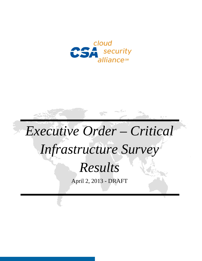

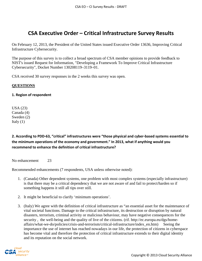# **CSA Executive Order – Critical Infrastructure Survey Results**

On February 12, 2013, the President of the United States issued Executive Order 13636, Improving Critical Infrastructure Cybersecurity.

The purpose of this survey is to collect a broad spectrum of CSA member opinions to provide feedback to NIST's issued Request for Information, "Developing a Framework To Improve Critical Infrastructure Cybersecurity", Docket Number 130208119–3119–01.

CSA received 30 survey responses in the 2 weeks this survey was open.

### **QUESTIONS**

### **1. Region of respondent**

USA (23) Canada (4) Sweden (2) Italy  $(1)$ 

**2. According to PDD-63, "critical" infrastructures were "those physical and cyber-based systems essential to the minimum operations of the economy and government." In 2013, what if anything would you recommend to enhance the definition of critical infrastructure?**

No enhancement 23

Recommended enhancements (7 respondents, USA unless otherwise noted):

- 1. (Canada) Other dependent systems, one problem with most complex systems (especially infrastructure) is that there may be a critical dependency that we are not aware of and fail to protect/harden so if something happens it still all tips over still.
- 2. It might be beneficial to clarify 'minimum operations'.
- 3. (Italy) We agree with the definition of critical infrastructure as "an essential asset for the maintenance of vital societal functions. Damage to the critical infrastructure, its destruction or disruption by natural disasters, terrorism, criminal activity or malicious behaviour, may have negative consequences for the security, the well-being and the quality of live of the citizens. (rif. http://ec.europa.eu/dgs/homeaffairs/what-we-do/policies/crisis-and-terrorism/critical-infrastructure/index\_en.htm) Seeing the importance the use of internet has reached nowadays in our life, the protection of citizens in cyberspace has become vital and therefore the protection of critical infrastructure extends to their digital identity and its reputation on the social network.

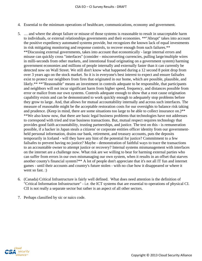- 4. Essential to the minimum operations of healthcare, communications, economy and government.
- 5. … and where the abrupt failure or misuse of those systems is reasonable to result in unacceptable harm to individuals, or external relationships governments and their economies. \*\*"Abrupt" takes into account the positive expediency automated systems provide, but recognizes the known lack of equal investments in risk mitigating monitoring and response controls, to recover enough from such failures.\*\* \*\*Discussing external governments, takes into account that economically - large internal errors and misuse can quickly cross "interfaces" (consider - misconverting currencies, pulling large/multiple wires in milli-seconds from other markets, and intentional fraud originating on a government system) harming government economies and millions of people internally and externally faster than it can currently be detected now on Wall Street. We still don't know what happened during a 12 second 8 point drop from over 3 years ago on the stock market. So it is in everyone's best interest to expect and ensure failsafes exist to protect our neighbors from fires that originated in our home, which are possible, plausible, and likely.\*\* \*\*"Reasonable" means an investment in controls adequate to be responsible, that participants and neighbors will not incur significant harm from higher speed, frequency, and distances possible from error or malice from our own systems. Controls adequate enough to show that a root cause origination capability exists and can be demonstrated to work quickly enough to adequately stop problems before they grow to large. And, that allows for mutual accountability internally and across such interfaces. The measure of reasonable might be the acceptable restoration costs for our oversights to balance risk taking and prudence. (Keep in mind, there are some situations too large to be able to collect insurance on.)\*\* \*\*We also know now, that there are basic legal business problems that technologies have not addresses to correspond with tried and true business transactions. But, mutual respect requires technology that provides good faith accountability, trusting partnerships, and justice. The test on this - is remuneration possible, if a hacker in Japan steals a citizens' or corporate entities officer identity from our governmentheld personal information, drains our bank, retirement, and treasury accounts, puts the deposits temporarily in Iceland - will they have any hint of the potential for justice? Commitment to a few failsafes to prevent having no justice? Maybe - demonstration of faithful ways to trace the transactions to an accountable owner to attempt justice or recovery? Internal systems mismanagement with interfaces on the internet are a challenge now. What risk are we willing to bear for harming external parties who can suffer from errors in our own mismanaging our own system, when it results in an offset that starves another county's financial system?\*\* A lot of people don't appreciate that it's not all IT fun and internet games - until their accounts and country's future stolen - with no clue how it disappeared or where it went so fast. :)
- 6. (Canada) Critical Infrastructure is fairly well defined. What does need attention is the definition of "Critical Information Infrastructure" - i.e. the ICT systems that are essential to operations of physical CI. CII is not really a separate sector but rather is an aspect of all other sectors.
- 7. Perhaps classified by sic or naics code.

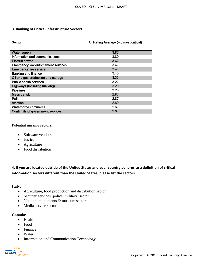### **3. Ranking of Critical Infrastructure Sectors**

| Sector                                    | CI Rating Average (4.0 most critical) |
|-------------------------------------------|---------------------------------------|
|                                           |                                       |
| <b>Water supply</b>                       | 3.87                                  |
| Information and communications            | 3.80                                  |
| <b>Electric power</b>                     | 3.67                                  |
| <b>Emergency law enforcement services</b> | 3.47                                  |
| <b>Emergency fire service</b>             | 3.47                                  |
| <b>Banking and finance</b>                | 3.40                                  |
| Oil and gas production and storage        | 3.33                                  |
| <b>Public health services</b>             | 3.27                                  |
| <b>Highways (including trucking)</b>      | 3.20                                  |
| <b>Pipelines</b>                          | 3.20                                  |
| <b>Mass transit</b>                       | 2.87                                  |
| Rail                                      | 2.87                                  |
| Aviation                                  | 2.80                                  |
| Waterborne commerce                       | 2.67                                  |
| Continuity of government services         | 2.67                                  |

Potential missing sectors:

- Software vendors
- Justice
- Agriculture
- Food distribution

**4. If you are located outside of the United States and your country adheres to a definition of critical information sectors different than the United States, please list the sectors**

#### **Italy:**

- Agriculture, food production and distribution sector
- Security services (police, military) sector
- National monuments & museum sector
- Media service sector

### **Canada:**

- Health
- Food
- Finance
- Water
- Information and Communication Technology

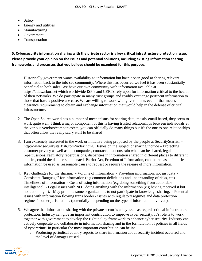- Safety
- Energy and utilities
- Manufacturing
- Government
- Transportation

**5. Cybersecurity information sharing with the private sector is a key critical infrastructure protection issue. Please provide your opinion on the issues and potential solutions, including existing information sharing frameworks and processes that you believe should be examined for this purpose.**

- 1. Historically government wants availability to information but hasn't been good at sharing relevant information back to the info sec community. Where this has occurred we feel it has been substantially beneficial to both sides. We have our own community with information available at https://atlas.arbor.net which worldwide ISP's and CERTs rely upon for information critical to the health of their networks. We do participate in many trust groups and readily exchange pertinent information to those that have a positive use case. We are willing to work with governments even if that means clearance requirements to obtain and exchange information that would help in the defense of critical infrastructure.
- 2. The Open Source world has a number of mechanisms for sharing data, mostly email based, they seem to work quite well. I think a major component of this is having trusted relationships between individuals at the various vendors/companies/etc, you can officially do many things but it's the one to one relationships that often allow the really scary stuff to be shared
- 3. I am extremely interested in the work or initiative being proposed by the people at SecurityStarfish http://www.securitystarfish.com/index.html. Issues on the subject of sharing include – Protecting customer privacy as well as the companies, contracts that constrain what can be shared, legal repercussions, regulatory repercussions, disparities in information shared in different places to different entities, could the data be subpoenaed, Patriot Act, Freedom of Information, can the release of a little information be used as reasonable cause to request or require the release of more information.
- 4. Key challenges for the sharing: Volume of information Providing information, not just data Consistent "language" for information (e.g common definitions and understanding of risks, etc) - Timeliness of information - Costs of using information (e.g doing something from actionable intelligence) - Legal issues with NOT doing anything with the information (e.g having received it but not actioning it). May promote some organizations to not participate in knowledge sharing. - Potential issues with information flowing trans border / issues with regulatory regimes and data protection regimes in other jurisdictions (potentially - depending on the type of information involved).
- 5. We agree that information sharing with the private sector is a key issue as regards critical infrastructure protection. Industry can give an important contribution to improve cyber security. It's role is to work together with government to develop the right policy framework to enhance cyber security. Industry can actively cooperate and collaborate in information sharing and in the formulation of policies in all fields of cybercrime. In particular the most important contribution can be in:
	- a. Producing periodical country reports to share information about security incident occurred and the level of damages raised.

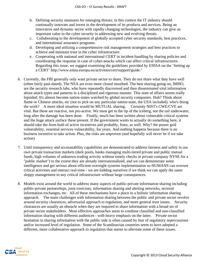- b. Defining security measures for emerging threats; in this contest the IT industry should continually innovate and invest in the development of its products and services. Being an innovative and dynamic sector with rapidly changing technologies, the industry can give an important value to the cyber security in addressing new and evolving threats.
- c. Collaborating to the development of globally accepted cyber security standards, best practices, and international assurance programs.
- d. Developing and utilizing a comprehensive risk management strategies and best practices to achieve and maintain trust in the cyber infrastructure.
- e. Cooperating with national and international CERT in incident handling by sharing policies and coordinating the response in case of cyber-attacks which can affect critical infrastructures. Regarding this issue, we suggest examining the guidelines provided by ENISA on the 'Setting up a CERT' http://www.enisa.europa.eu/activities/cert/support/guide."
- 6. Currently, the FBI generally only want private sector to share. They do not share what they have well (often fairly past-dated). The NSA are even more closed mouthed. The best sharing going on, IMHO, are the security research labs, who have repeatedly discovered and then disseminated vital information about attack types and patterns in a disciplined and rigorous manner. This state of affairs seems really lopsided. It's almost become nation-states watched by global security companies. Huh? Think about flame or Chinese attacks, etc (not to pick on any particular nation-state, the USA included). who's doing the work? A more ideal situation would be MUTUAL sharing. Certainly NIST's CWE/CVE are vital. But these are reactive, not pro-active. We must get to the tip of the iceberg, not the tail underwater, long after the damage has been done. Finally, much has been written about vulnerable critical systems and the huge attack surface these present. If the government wants to actually do something here, it should take the form both of active incentives and probably, fines, as well. Why? the power grid vulnerability, essential services vulnerability, for years. And nothing happens because there is no business incentive to take action. Plus, the risks are unproven (and hopefully will never be if we take action)
- 7. Until transparency and accountability capabilities are demonstrated to address fairness and safety in our own private transaction markets (dark pools, banks managing multi-tiered private and public mutual funds, high volumes of unknown trading activity without timely checks in private company NYSE for a "public market") to the extent they are already internationalized, and we can demonstrate some intelligence and get serious about efficient oversight systems implementation so HUMANS can oversee critical activities and interact real-time - we are kidding ourselves if we think we can apply the same sloppy management to any critical infrastructure without large consequences.
- 8. Models exist around the world to address many aspects of public-private information sharing including public-private partnerships, joint exercises, information sharing and alerting networks, sectoral information exchanges, etc. All of these mechanisms have a place in a holistic information sharing approach. The main challenges with information sharing between the public and private sector revolve around security clearances, adversarial approach to regulation, and more general trust issues. Security clearances are usually an obstacle when they are required to share information with a broad set of private sector stakeholders. Most effective approaches seem to combine classified and non-classified information sharing with different audiences - with heavy emphasis on the latter. Private sector hesitation in sharing information with the public side is often caused by fear of regulatory repercussions and/or increased level of regulation. Some of the Scandinavian countries seem to have adopted a different, more collaborative approach to regulation that seems to alleviate some of these issues.

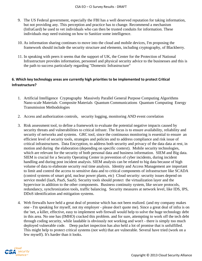- 9. The US Federal government, especially the FBI has a well deserved reputation for taking information, but not providing any. This perception and practice has to change. Recommend a mechanism (InfraGard) be used to vet individuals who can then be trusted conduits for information. These individuals may need training on how to Sanitize some intelligence.
- 10. As information sharing continues to move into the cloud and mobile devices, I'm proposing the framework should include the security structure and elements, including cryptography, of Blackberry.
- 11. In speaking with peers it seems that the support of UK, the Center for the Protection of National Infrastructure provides information, personnel and physical security advice to the businesses and this is the path to success particularly regarding "Domestic Infrastructure"

# **6. Which key technology areas are currently high priorities to be implemented to protect Critical Infrastructure?**

- 1. Artificial Intelligence Cryptography Massively Parallel General Purpose Computing Algorithms Nano-scale Materials Composite Materials Quantum Communications Quantum Computing Energy Transmission Methodologies
- 2. Access and authorization controls, security logging, monitoring AND event correlation
- 3. Risk assessment tool, to define a framework to evaluate the potential negative impacts caused by security threats and vulnerabilities to critical infrastr. The focus is to ensure availability, reliability and security of networks and systems. GRC tool, since the continuous monitoring is essential to ensure an efficient level of security tools, strategies and policies and to address compliance and risk issue of critical infrastructures. Data Encryption, to address both security and privacy of the data data at rest, in motion and during the elaboration (depending on specific context). Mobile security technologies, which are relevant for the security of both personal data and business information. SIEM and Big data. SIEM is crucial for a Security Operating Center in prevention of cyber incidents, during incident handling and during post incident analysis. SIEM analysis can be related to big data because of high volume of data to elaborate security real time analysis. Identity and Access Management are important to limit and control the access to sensitive data and to critical components of infrastructure like SCADA (control systems of smart grid, nuclear power plants, etc) Cloud security: security issues depend on service model (IaaS, PaaS, SaaS). Security tools should protect the virtualization layer and the hypervisor in addition to the other components. Business continuity system, like secure protocols, redundancy, synchronization tools, traffic balancing. Security measures at network level, like IDS, IPS, DDoS identification and mitigation systems.
- 4. Web firewalls have held a great deal of promise which has not been realized. (and my company makes one - I'm speaking for myself, not my employer - please don't quote me). Since a great deal of infra is on the 'net, a killer, effective, easy to implement web firewall would help to solve the huge technology debt in this area. No one has (IMHO) cracked this problem. and for sure, attempting to work off the tech debt through coding security, while laudable is obviously not working and won't - there is simply too much deployed vulnerable code. Deep packet inspection has also held a lot of promise that is unfulfilled. This might help to protect critical systems (not web) that are vulnerable. Several have tried (work on a few myself). It's harder than it looks.

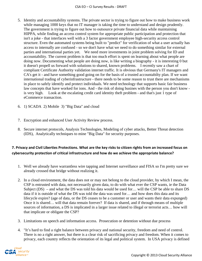- 5. Identity and accountability systems. The private sector is trying to figure out how to make business work while managing 1000 keys that no IT manager is taking the time to understand and design prudently. The government is trying to figure out how to outsource private financial data while maintaining HIPPA, while finding an access control system for appropriate public participation and protection that isn't a joke - that interfaces well with a 3 factor government employee high-security access control structure. Even the automated systems being built to "predict" for verification of what a user actually has access to internally are confused - so we don't have what we need to do something similar for external parties and international parties yet. We need more investments in joint problem solving for ID and accountability. The current problem is that too much effort is spent on learning about what people are doing now. Documenting what people are doing now, is like writing a biography - it is interesting 0 but it doesn't propell us forward with solutions to shared, known problems. I recently saw a chart of compliant Certificate Authority validation internet traffic. It is obvious that Germany's IT managers and CA's get it - and have something good going on for the basis of a trusted accountabilty plan. If we want international trading of cyberinfrastructure - there needs to be some reason to trust there are mechanisms in place to safely identify and protect individuals. We need technology that supports basic fair business law concepts that have worked for ions. And - the risk of doing busines with the person you don't know is very high. Look at the escalating credit card identity theft problem - and that's just 1 type of eCommerce transaction.
- 6. 1) SCADA 2) Mobile 3) "Big Data" and cloud
- 7. Encryption and enhanced User Activity Review process.
- 8. Secure internet protocols, Analysis Technologies, Modeling of cyber attacks, Better Threat detection (IDS), Analytically techniques to mine "Big Data" for security purposes.

# **7. Privacy and Civil Liberties Protections. What are the key risks to citizen rights from an increased focus on cybersecurity protection of critical infrastructure and how do we achieve the appropriate balance?**

- 1. Well we already have warrantless wire tapping and Internet surveillance and FISA so I'm pretty sure we already crossed that bridge without realizing it.
- 2. In a cloud environment, the data does not or may not belong to the cloud provider, by which I mean, the CSP is entrusted with data, not necessarily given data, to do with what ever the CSP wants, ie the Data Subject (DS) – and what the DS was told his data would be used for... will the CSP be able to share DS data if it is outside of what the DS was told the data was used for… and how does this data and its lifecycle expire? (age of data, or the DS ceases to be a customer or user and wants their data expunged) Once it is shared… will that data remain forever? If data is shared, and if through means of multiple sources of information, a DS is implicated in a larger issue related to illegal or terrorist acts… how will that implicate or obligate the CSP?
- 3. Limitations on speech and information access. Prosecution or detention without due process
- 4. "It's hard to find a right balance between privacy and national security, freedom and need of control. There is no a right answer, but there is a clear risk of sacrificing privacy and freedom. When it comes to privacy, each country reflects the orientation of its legal and political system. In USA privacy is defined

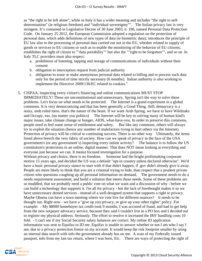as "the right to be left alone", while in Italy it has a wider meaning and includes "the right to selfdetermination" (ie religious freedom) and "individual sovereignty"". The Italian privacy law is very stringent. It's contained in Legislative Decree of 30 June 2003, n. 196, named Personal Data Protection Code. On January 25 2012, the European Commission adopted a regulation on the protection of personal data, which adds definitions of new types of data (ie biometric data); introduces the principle of EU law also to the processing of personal data carried out not in the EU, whether related to supply of goods or services to EU citizens or such as to enable the monitoring of the behavior of EU citizens; establishes the right of citizen to ""data portability"" but also the ""right to be forgotten"", and so on In Italy TLC providers must also respect:

- a. prohibition of listening, tapping and storage of communications of individuals without their consent
- b. obligation to interception request from judicial authority
- c. obligation to erase or make anonymous personal data related to billing and to process such data only for the period of time strictly necessary (6 months). Italian authority is also working to implement the Directive 2009/136/EC related to cookies."
- 5. CISPAA, inspecting every citizen's financing and online communications MUST STOP IMMEDIATELY! These are unconstitutional and unnecessary. Spying isn't the way to solve these problems. Let's focus on what needs to be protected. The Internet is a grand experiment in a global commons. It is very democratizing and that has been generally a Good Thing. Still, democracy is a noisy, mob ruled mess. that's the nature of the beast. If we want Arab Spring, we have to have Wikileaks and Occupy, too. (no matter you politics) The Internet will be key to solving many of human kind's major issues, take climate change or hunger, AIDS, what-have-you. In order to preserve this commons, people need to feel some sense of entitlement and safety. But like any commons, others will always try to exploit the situation (hence any number of malefactors trying to hurt others via the Internet). Protection of privacy will be critical to continuing success. There is no other way Ultimately, the items listed above breech the very fabric of society. How can we speak of privacy in the face of the USA government's (or any government's) inspecting every online activity? The balance is to follow the US constitution's protections in an online, digital manner. That does NOT mean looking at everything and everyone just because we can. It means focused investigation for a purpose. Without privacy and choice, there is no freedom. Someone had the bright profitmaking corporate motive 15 years ago, and decided the US was a default "opt-in country unless declared otherwise". We'd have a basic personal privacy stance to start with if that didn't happen, if .gov didn't already give it away. People are more likely to think that you are a criminal trying to hide, than respect that a prudent private citizen who questions coughing up all personal information on demand. The government needs to do a needs requirement assessment, and build a solution that meets those needs. Some of these problems are so muddled, that we probably need a public vote on what we want and a discussion of why - before we can build a technology that supports it. I'm all for privacy - but the lack of forethought makes it so we have unnecessary denied services - instead of a well-designed system that supports a right to privacy. Maybe Obama can have a town meeting where we vote live for different nuances? It needs to be thought out. Right now - we have a "give up you privacy, or give up your other rights" policy. For example: - My \$8000 homebuyer tax credit took 9 months, I was accused of fraud, and had to get help from the new taxpayer advocacy service, because they said I couldn't live in a PO box and I decided not to register my physical address. Seriously. The effort to resolve it increased the IRS' handling costs 10 fold. - I can't see if my Social Security salary balances are correct. My online ID application information was sent to Equifax to ID me. Equifax is unable to answer whether or not I am who I say I am, due to a privacy protection freeze on my account. It would keep the risk footprint smaller by using an internal data search with info the government already has on me. A scan of my Federally issued passport, info from my last tax return, where I was born, Etc. There are ways of protecting the right of

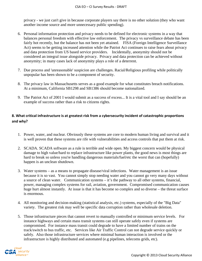privacy - we just can't give in because corporate players say there is no other solution (they who want another income source and more unnecessary public spending).

- 6. Personal information protection and privacy needs to be defined for electronic systems in a way that balances personal freedom with effective law enforcement. The privacy vs surveillance debate has been fairly hot recently, but the balance has not been yet attained. FISA (Foreign Intelligence Surveillance Act) seems to be getting increased attention while the Patriot Act continues to raise fears about privacy and data protection from US based service providers. Incidentally, anonymity should not be considered an integral issue alongside privacy. Privacy and data protection can be achieved without anonymity; in many cases lack of anonymity plays a role of a deterrent.
- 7. Due process and 'unreasonable' suspicion are challenges. Racial/Religious profiling while politically unpopular has been shown to be a component of security.
- 8. The privacy law in Massachusetts serves as a good example for what constitutes breach notifications. At a minimum, California SB1298 and SB1386 should become nationalized.
- 9. The Patriot Act of 2001 I would submit as a success of excess... It is a vital tool and I say should be an example of success rather than a risk to citizens rights.

# **8. What critical infrastructure is at greatest risk from a cybersecurity incident of catastrophic proportions and why?**

- 1. Power, water, and nuclear. Obviously these systems are core to modern human living and survival and it is well proven that these systems are rife with vulnerabilities and access controls that put them at risk.
- 2. SCADA. SCADA software as a rule is terrible and wide open. My biggest concern would be physical damage to high value/hard to replace infrastructure like power plants, the good news is most things are hard to break so unless you're handling dangerous materials/fuel/etc the worst that can (hopefully) happen is an unclean shutdown.
- 3. Water systems as a means to propagate disease/viral infections. Water management is an issue because it is so vast. You cannot simply stop needing water and you cannot go very many days without a source of clean water. Communication systems – it's the pathway to all other systems, financial, power, managing complex systems for rail, aviation, government. Compromised communication causes huge hurt almost instantly. At issue is that it has become so complex and so diverse – the threat surface is enormous.
- 4. All monitoring and decision-making (statistical analysis, etc.) systems, especially of the "Big Data" variety. The greatest risk may well be specific data corruption rather than wholesale deletion.
- 5. Those infrastructure pieces that cannot revert to manually controlled or minimum service levels. For instance highways and certain mass transit systems can still operate safely even if systems are compromised. For instance mass transit could degrade to have a limited number of trains on the track/switch to bus traffic, etc. Services like Air Traffic Control can not degrade service quickly or safely. Also those infrastructure services where minimal human interaction is involved or the infrastructure is highly distributed and automated (e.g pipelines, telecoms grids, etc).

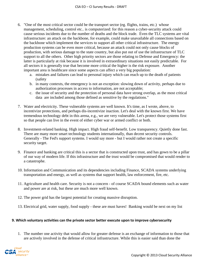- 6. "One of the most critical sector could be the transport sector (eg. flights, trains, etc.) whose management, scheduling, control etc.. is computerized: for this reason a cyber-security attack could cause serious incidents due to the number of deaths and the block trade. Even the TLC systems are vital infrastructure: an attack on the backbone, for example, could make unavailable all connections based on the backbone which implement the services to support all other critical infrastructure. The energy production systems can be even more critical, because an attack could not only cause blocks of production, with serious damage to the state country, but also put out of use the infrastructure of TLC support to all the others. Other high priority sectors are those relating to Defense and Emergency: the latter is particularly at risk because it is involved in extraordinary situations not easily predictable. For all sectors it is generally true that become more critical the higher is the risk exposure. Another important area is healthcare since some aspects can affect a very big population:
	- a. mistakes and failures can lead to personal injury which can reach up to the death of patients (safety
	- b. in many contexts, the emergency is not an exception: slowing down of activity, perhaps due to authorization processes in access to information, are not acceptable;
	- c. the issue of security and the protection of personal data have strong overlap, as the most critical data are included among those defined as sensitive by the regulations."
- 7. Water and electricity. These vulnerable systems are well known. It's time, as I wrote, above, to incentivize protections, and perhaps dis-incentivize inaction. Let's deal with the known first. We have tremendous technology debt in this arena, e.g., we are very vulnerable. Let's protect those systems first so that people can live in the event of either cyber war or armed conflict or both.
- 8. Investment-related banking. High impact. High fraud self-benefit. Low transparency. Quietly done fast. There are many more smart technology students internationally, than decent security controls. Generally - The Fed's support systems. I would say more - but I would rather not create a specific security target.
- 9. Finance and banking are critical this is a sector that is constructed upon trust, and has gown to be a pillar of our way of modern life. If this infrastructure and the trust would be compromised that would render to a catastrophe.
- 10. Information and Communication and its dependencies including Finance, SCADA systems underlying transportation and energy, as well as systems that support health, law enforcement, fire, etc.
- 11. Agriculture and health care. Security is not a concern of course SCADA bound elements such as water and power are at risk, but these are much more well known.
- 12. The power grid has the largest potential for creating massive disruption.
- 13. Electrical grid, water supply, food supply these are must haves! Banking would be next on my list

### **9. Which voluntary activities can the private sector better execute upon to improve cybersecurity**

1. The number one activity that would allow for greater defense is an exchange of information to those that are actively involved in the defense of critical infrastructure. While this is easier said than done the

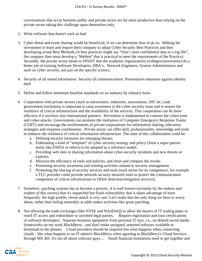conversations that occur between public and private sector are far more productive than relying on the private sector taking this challenge upon themselves only.

- 2. Write software that doesn't suck so bad.
- 3. Cyber threat and event sharing would be beneficial, if we can determine how to do so. Making the investment to learn and require their company to adopt Cyber Security Best Practices and then developing actual Best Methods (A best practices might say "Don't store confidential data in a log file", the company then must develop a 'Method' that is practical to meet the requirements of the Practice) Secondly, the private sector needs to INSIST that the academic organizations (colleges/universities) do a better job of training Software Developers, DBA's, Network Engineers, System Administrators and such on cyber security, not just on the specific science.
- 4. Security of all stored information Security of communications Preventative measures against identity theft
- 5. Define and follow minimum baseline standards on an industry by industry basis.
- 6. Cooperation with private sectors (such as universities, industries, associations, ISP, etc.) and government institutions is important to raise awareness to the cyber security issue and to ensure the resilience of critical infrastructure and the availability of the services. This cooperation can be more effective if it involves also international partners. Prevention is fundamental to contrast the cybercrime and cyber-attacks. Governments can promote the institution of Computer Emergency Response Teams (CERT) and encourage the involvements of private corporations for information sharing, education strategies and response coordination. Private sector can offer skill, professionality, knowledge and tools to enhance the resilience of critical information infrastructure. The aims of this collaboration could be:
	- a. Defining security measures for emerging threats;
	- b. Elaborating a kind of "template" of cyber-security strategy and policy (from a super-parties entity like ENISA or others) to be adopted as a reference model.
	- c. Providing web sites to sharing information about cyber-security incidents and new threats or exploits;
	- d. Measure the efficiency of tools and policies, and share and compare the results.
	- e. Promoting security awareness and training activities related to security management.
	- f. Promoting the sharing of security services and tools (each sector for its competence, for example a TLC provider could provide network security network tools to protect the communication component of critical infrastructure or DDoS detection/mitigation services).
- 7. Somehow, patching systems has to become a priority. It is well known (certainly by the makers and readers of this survey) that it's unpatched but fixed vulnerability that is taken advantage of most frequently. the high profile, clever attack is very rare. Let's make that the only thing we have to worry about, rather than failing miserably at table stakes activities like grunt patching.
- 8. Not allowing the trade exchanges (like NYSE and NASDAQ) to allow the buyers of IT trading pipes to resell IT access and redistribute to unvetted legal parties. Require registration and trust certifications of software developers. Separate business equipment from personal IT toys. i.e., no default social media frameworks on my work BlackBerry - and don't make unsigned, untested software available to download to the phones. Cloud providers should be required test what happens when connecting clouds - like what happens to an IT admin's BlackBerry when agreeing to BlackBerry's Cloud Services through MS 365. It's not all about software guys.... Small financial institutions need to get together and

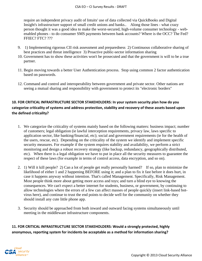require an independent privacy audit of Intuits' use of data collected via QuickBooks and Digital Insight's infrastructure support of small credit unions and banks.. Along those lines - what crazy person thought it was a good idea to make the worst-secured, high-volume consumer technology - webenabled phones - to do consumer SMS payments between bank accounts? Where is the OCC? The Fed? FFIEC? FTC? ???

- 9. 1) Implementing rigorous CII risk assessment and preparedness 2) Continuous collaborative sharing of best practices and threat intelligence 3) Proactive public-sector information sharing
- 10. Government has to show these activities won't be prosecuted and that the government is will to be a true partner.
- 11. Begin moving towards a better User Authentication process. Stop using common 2 factor authentication based on passwords.
- 12. Command and control and interoperability between government and private sector. Other nations are seeing a mutual sharing and responsibility with government to protect its "electronic borders"

# **10. FOR CRITICAL INFRASTRUCTURE SECTOR STAKEHOLDERS: In your system security plan how do you categorize criticality of systems and address protection, stability and recovery of these assets based upon the defined criticality?**

- 1. We categorize the criticality of systems mainly based on the following matters: business impact; number of customers; legal obligation (ie lawful interception requirements, privacy law, laws specific to application sector, like banking/financial, etc); social and government requirements (ie for the health of the users, rescue, etc). Depending on the criticality of the system we identify and implement specific security measures. For example if the system requires stability and availability, we perform a strict monitoring and design a robust recovery strategy (like backup, redundancy, geographically distributed, etc). When there is a legal obligation we have to put in place all the security measures to guarantee the respect of these laws (for example in terms of control access, data encryption, and so on).
- 2. 1) Will it kill people? 2) Can a lot of people get really personally harmed? If so, plan to minimize the likelihood of either 1 and 2 happening BEFORE using it; and a plan to fix it fast before it does hurt, in case it happens anyway without intention. That's called Management. Specifically, Risk Management. Most people think more about getting more access and toys; and turn a blind eye to knowing the consequences. We can't expect a better internet for students, business, or government, by continuing to allow technologies where the errors of a few can affect masses of people quickly (insert link-based botvirus here), and continue to trust the end points to decide well for the community on whether they should install any cute little phone app.
- 3. Security should be approached from both inward and outward facing systems simultaneously until meeting in the middleware infrastructure components.

# **11. FOR CRITICAL INFRASTRUCTURE SECTOR STAKEHOLDERS: Would a strongly protected, highly anonymous, reporting system for incidents be acceptable as a method for information sharing?**

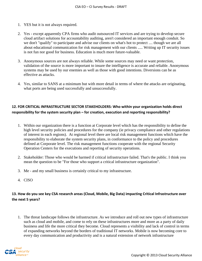- 1. YES but it is not always required.
- 2. Yes except apparently CPA firms who audit outsourced IT services and are trying to develop secure cloud artifact solutions for accountability auditing, aren't considered an important enough conduit. So we don't "qualify" to participate and advise our clients on what's hot to protect .... though we are all about educational communication for risk management with our clients ..... Writing up IT security issues is not fun nor good for business. Education is much more future-valuable.
- 3. Anonymous sources are not always reliable. While some sources may need or want protection, validation of the source is more important to insure the intelligence is accurate and reliable. Anonymous systems may be used by our enemies as well as those with good intentions. Diversions can be as effective as attacks.
- 4. Yes, similar to SANS at a minimum but with more detail in terms of where the attacks are originating, what ports are being used successfully and unsuccessfully.

# **12. FOR CRITICAL INFRASTRUCTURE SECTOR STAKEHOLDERS: Who within your organization holds direct responsibility for the system security plan – for creation, execution and reporting responsibility?**

- 1. Within our organization there is a function at Corporate level which has the responsibility to define the high level security policies and procedures for the company (ie privacy compliance and other regulations of interest in each regions). At regional level there are local risk management functions which have the responsibility to elaborate the system security plans, in conformance to the policy and procedures defined at Corporate level. The risk management functions cooperate with the regional Security Operation Centers for the executions and reporting of security operations.
- 2. Stakeholder: Those who would be harmed if critical infrastructure failed. That's the public. I think you mean the question to be "For those who support a critical infrastructure organization".
- 3. Me and my small business is certainly critical to my infrastructure.
- 4. CISO

## **13. How do you see key CSA research areas (Cloud, Mobile, Big Data) impacting Critical Infrastructure over the next 5 years?**

1. The threat landscape follows the infrastructure. As we introduce and roll out new types of infrastructure such as cloud and mobile, and come to rely on these infrastructures more and more as a party of daily business and life the more critical they become. Cloud represents a visibility and lack of control in terms of expanding networks beyond the borders of traditional IT networks. Mobile is now becoming core to every day communication and productivity and is a natural extension of network infrastructure

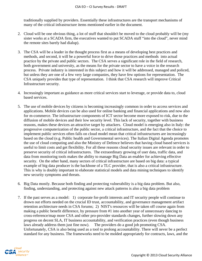traditionally supplied by providers. Essentially these infrastructures are the transport mechanisms of many of the critical infrastructure items mentioned earlier in the document.

- 2. Cloud will be one obvious thing, a lot of stuff that shouldn't be moved to the cloud probably will be (my sister works at a SCADA firm, the executives wanted to put SCADA stuff "into the cloud", never mind the remote sites barely had dialup).
- 3. The CSA will be a leader in the thought process first as a means of developing best practices and methods, and second, it will be a powerful force to drive those practices and methods into actual practice by the private and public sectors. The CSA serves a significant role in the field of research, both government and university, as the means for the private sector to have a voice in the research process. Private industry is interested in this subject and how it will be addressed, managed and policed, but unless they are one of a few very large companies, they have few options for representation. The CSA uniquely provides that type of representation. I think that CSA research will improve Critical Infrastructure security.
- 4. Increasingly important as guidance as more critical services start to leverage, or provide data to, cloud based services.
- 5. The use of mobile devices by citizens is becoming increasingly common in order to access services and applications. Mobile devices can be also used for online banking and financial applications and now also for m-commerce. The infrastructure components of ICT sector become more exposed to risk, due to the diffusion of mobile devices and their low security level. This lack of security, together with business reasons, makes these devices an attractive target by attackers. Cloud model is emerging also in Italy: the progressive computerization of the public sector, a critical infrastructure, and the fact that the choice to implement public services often falls on cloud model mean that critical infrastructures are increasingly based on the cloud (e.g. Public health and Governmental services). The Italian Digital Agenda promotes the use of cloud computing and also the Ministry of Defence believes that having cloud based services is useful to limit costs and get flexibility. For all these reasons cloud security issues are relevant in order to preserve security of critical infrastructures. The extraordinary growing of user data, traffic data, and data from monitoring tools makes the ability to manage Big Data an enabler for achieving effective security. On the other hand, many sectors of critical infrastructure are based on big data: a typical example of big data producer is the backbone of a TLC provider, that is also a critical infrastructure. This is why is doubly important to elaborate statistical models and data mining techniques to identify new security symptoms and threats.
- 6. Big Data mostly. Because both finding and protecting vulnerability is a big data problem. But also, finding, understanding, and protecting against new attack patterns is also a big data problem
- 7. If the past serves as a model: 1) corporate for-profit interests and IT security people will continue to drown out efforts needed on the crucial ID trust, accountability, and governance management artifact retention architecture needs in CSA forums; 2) NIST's resources will be taken off course again from making a public benefit difference, by pressure from #1 into another year of unnecessary dancing to cross-reference/map more CSA and other pro-provider standards changes, further slowing down any progress on decent SLA, IT business accountability, and verification practices (even though business laws already address them just fine now). The providers do a good job promoting CSA. Unfortunately, CSA is also being used as a tool to prolong accountability. There will never be a perfect standard for any business. The frameworks need to be molded appropriately for contracts, laws, and the